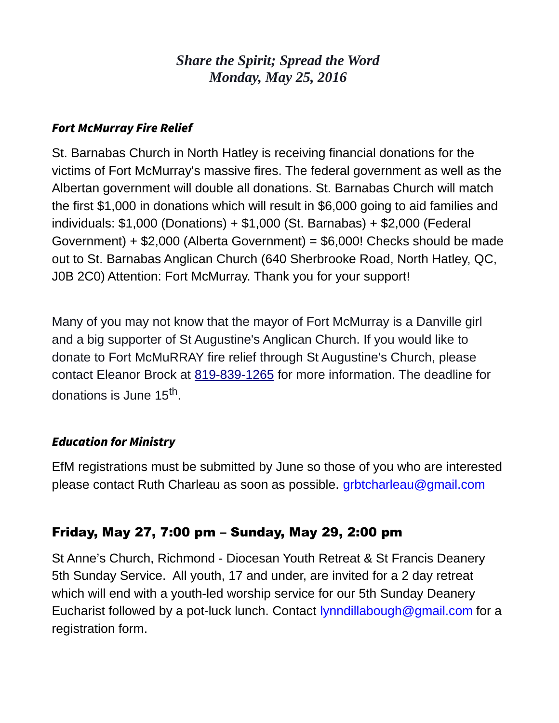# *Share the Spirit; Spread the Word Monday, May 25, 2016*

#### Fort McMurray Fire Relief

St. Barnabas Church in North Hatley is receiving financial donations for the victims of Fort McMurray's massive fires. The federal government as well as the Albertan government will double all donations. St. Barnabas Church will match the first \$1,000 in donations which will result in \$6,000 going to aid families and individuals: \$1,000 (Donations) + \$1,000 (St. Barnabas) + \$2,000 (Federal Government) + \$2,000 (Alberta Government) = \$6,000! Checks should be made out to St. Barnabas Anglican Church (640 Sherbrooke Road, North Hatley, QC, J0B 2C0) Attention: Fort McMurray. Thank you for your support!

Many of you may not know that the mayor of Fort McMurray is a Danville girl and a big supporter of St Augustine's Anglican Church. If you would like to donate to Fort McMuRRAY fire relief through St Augustine's Church, please contact Eleanor Brock at [819-839-1265](tel:819-839-1265) for more information. The deadline for donations is June 15<sup>th</sup>.

# Education for Ministry

EfM registrations must be submitted by June so those of you who are interested please contact Ruth Charleau as soon as possible. grbtcharleau@gmail.com

# Friday, May 27, 7:00 pm – Sunday, May 29, 2:00 pm

St Anne's Church, Richmond - Diocesan Youth Retreat & St Francis Deanery 5th Sunday Service. All youth, 17 and under, are invited for a 2 day retreat which will end with a youth-led worship service for our 5th Sunday Deanery Eucharist followed by a pot-luck lunch. Contact lynndillabough@gmail.com for a registration form.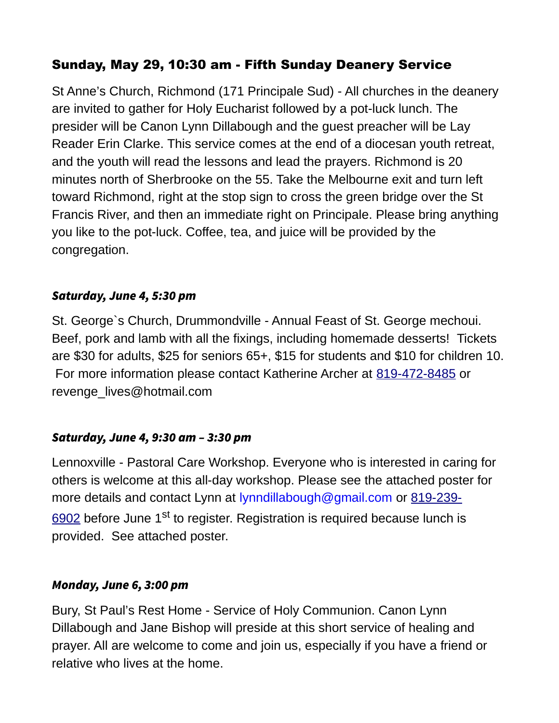# Sunday, May 29, 10:30 am - Fifth Sunday Deanery Service

St Anne's Church, Richmond (171 Principale Sud) - All churches in the deanery are invited to gather for Holy Eucharist followed by a pot-luck lunch. The presider will be Canon Lynn Dillabough and the guest preacher will be Lay Reader Erin Clarke. This service comes at the end of a diocesan youth retreat, and the youth will read the lessons and lead the prayers. Richmond is 20 minutes north of Sherbrooke on the 55. Take the Melbourne exit and turn left toward Richmond, right at the stop sign to cross the green bridge over the St Francis River, and then an immediate right on Principale. Please bring anything you like to the pot-luck. Coffee, tea, and juice will be provided by the congregation.

#### Saturday, June 4, 5:30 pm

St. George`s Church, Drummondville - Annual Feast of St. George mechoui. Beef, pork and lamb with all the fixings, including homemade desserts! Tickets are \$30 for adults, \$25 for seniors 65+, \$15 for students and \$10 for children 10. For more information please contact Katherine Archer at [819-472-8485](tel:819-472-8485) or revenge\_lives@hotmail.com

# Saturday, June 4, 9:30 am – 3:30 pm

Lennoxville - Pastoral Care Workshop. Everyone who is interested in caring for others is welcome at this all-day workshop. Please see the attached poster for more details and contact Lynn at lynndillabough@gmail.com or [819-239-](tel:819-239-6902) [6902](tel:819-239-6902) before June  $1<sup>st</sup>$  to register. Registration is required because lunch is provided. See attached poster.

#### Monday, June 6, 3:00 pm

Bury, St Paul's Rest Home - Service of Holy Communion. Canon Lynn Dillabough and Jane Bishop will preside at this short service of healing and prayer. All are welcome to come and join us, especially if you have a friend or relative who lives at the home.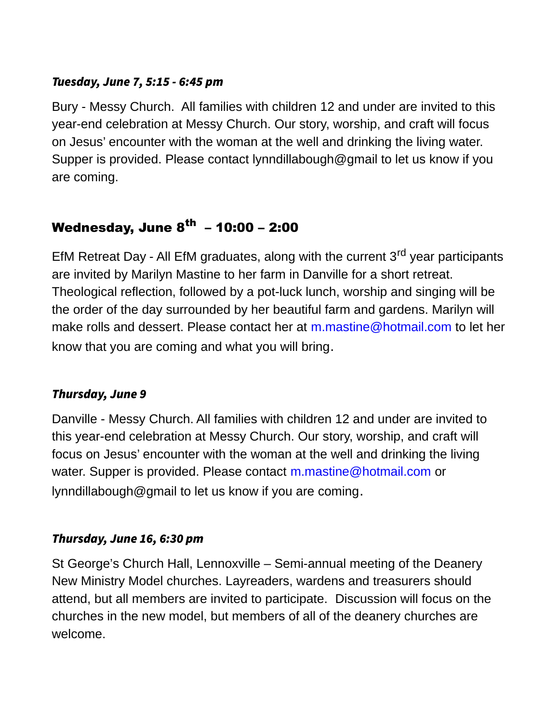#### Tuesday, June 7, 5:15 - 6:45 pm

Bury - Messy Church. All families with children 12 and under are invited to this year-end celebration at Messy Church. Our story, worship, and craft will focus on Jesus' encounter with the woman at the well and drinking the living water. Supper is provided. Please contact lynndillabough@gmail to let us know if you are coming.

# Wednesday, June  $8^{th} - 10:00 - 2:00$

EfM Retreat Day - All EfM graduates, along with the current  $3<sup>rd</sup>$  year participants are invited by Marilyn Mastine to her farm in Danville for a short retreat. Theological reflection, followed by a pot-luck lunch, worship and singing will be the order of the day surrounded by her beautiful farm and gardens. Marilyn will make rolls and dessert. Please contact her at m.mastine@hotmail.com to let her know that you are coming and what you will bring.

# Thursday, June 9

Danville - Messy Church. All families with children 12 and under are invited to this year-end celebration at Messy Church. Our story, worship, and craft will focus on Jesus' encounter with the woman at the well and drinking the living water. Supper is provided. Please contact m.mastine@hotmail.com or lynndillabough@gmail to let us know if you are coming.

# Thursday, June 16, 6:30 pm

St George's Church Hall, Lennoxville – Semi-annual meeting of the Deanery New Ministry Model churches. Layreaders, wardens and treasurers should attend, but all members are invited to participate. Discussion will focus on the churches in the new model, but members of all of the deanery churches are welcome.